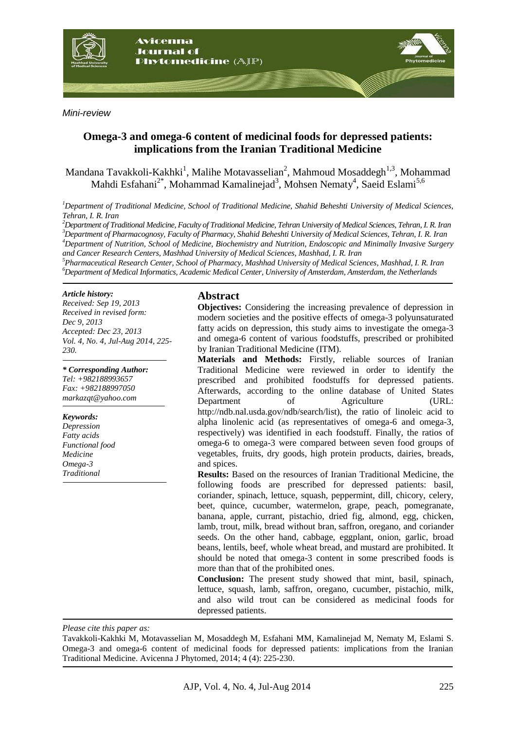

*Mini-review*

# **Omega-3 and omega-6 content of medicinal foods for depressed patients: implications from the Iranian Traditional Medicine**

Mandana Tavakkoli-Kakhki<sup>1</sup>, Malihe Motavasselian<sup>2</sup>, Mahmoud Mosaddegh<sup>1,3</sup>, Mohammad Mahdi Esfahani<sup>2\*</sup>, Mohammad Kamalinejad<sup>3</sup>, Mohsen Nematy<sup>4</sup>, Saeid Eslami<sup>5,6</sup>

*<sup>1</sup>Department of Traditional Medicine, School of Traditional Medicine, Shahid Beheshti University of Medical Sciences, Tehran, I. R. Iran*

*Department of Traditional Medicine, Faculty of Traditional Medicine, Tehran University of Medical Sciences, Tehran, I. R. Iran Department of Pharmacognosy, Faculty of Pharmacy, Shahid Beheshti University of Medical Sciences, Tehran, I. R. Iran Department of Nutrition, School of Medicine, Biochemistry and Nutrition, Endoscopic and Minimally Invasive Surgery and Cancer Research Centers, Mashhad University of Medical Sciences, Mashhad, I. R. Iran*

*5 Pharmaceutical Research Center, School of Pharmacy, Mashhad University of Medical Sciences, Mashhad, I. R. Iran <sup>6</sup>Department of Medical Informatics, Academic Medical Center, University of Amsterdam, Amsterdam, the Netherlands*

#### *Article history:*

*Received: Sep 19, 2013 Received in revised form: Dec 9, 2013 Accepted: Dec 23, 2013 Vol. 4, No. 4, Jul-Aug 2014, 225- 230.*

*\* Corresponding Author: Tel: +982188993657 Fax: +982188997050 markazqt@yahoo.com*

#### *Keywords:*

*Depression Fatty acids Functional food Medicine Omega-3 Traditional*

#### **Abstract**

**Objectives:** Considering the increasing prevalence of depression in modern societies and the positive effects of omega-3 polyunsaturated fatty acids on depression, this study aims to investigate the omega-3 and omega-6 content of various foodstuffs, prescribed or prohibited by Iranian Traditional Medicine (ITM).

**Materials and Methods:** Firstly, reliable sources of Iranian Traditional Medicine were reviewed in order to identify the prescribed and prohibited foodstuffs for depressed patients. Afterwards, according to the online database of United States Department of Agriculture (URL: [http://ndb.nal.usda.gov/ndb/search/list\)](http://ndb.nal.usda.gov/ndb/search/list), the ratio of linoleic acid to alpha linolenic acid (as representatives of omega-6 and omega-3, respectively) was identified in each foodstuff. Finally, the ratios of omega-6 to omega-3 were compared between seven food groups of vegetables, fruits, dry goods, high protein products, dairies, breads, and spices.

**Results:** Based on the resources of Iranian Traditional Medicine, the following foods are prescribed for depressed patients: basil, coriander, spinach, lettuce, squash, peppermint, dill, chicory, celery, beet, quince, cucumber, watermelon, grape, peach, pomegranate, banana, apple, currant, pistachio, dried fig, almond, egg, chicken, lamb, trout, milk, bread without bran, saffron, oregano, and coriander seeds. On the other hand, cabbage, eggplant, onion, garlic, broad beans, lentils, beef, whole wheat bread, and mustard are prohibited. It should be noted that omega-3 content in some prescribed foods is more than that of the prohibited ones.

**Conclusion:** The present study showed that mint, basil, spinach, lettuce, squash, lamb, saffron, oregano, cucumber, pistachio, milk, and also wild trout can be considered as medicinal foods for depressed patients.

*Please cite this paper as:* 

Tavakkoli-Kakhki M, Motavasselian M, Mosaddegh M, Esfahani MM, Kamalinejad M, Nematy M, Eslami S. Omega-3 and omega-6 content of medicinal foods for depressed patients: implications from the Iranian Traditional Medicine. Avicenna J Phytomed, 2014; 4 (4): 225-230.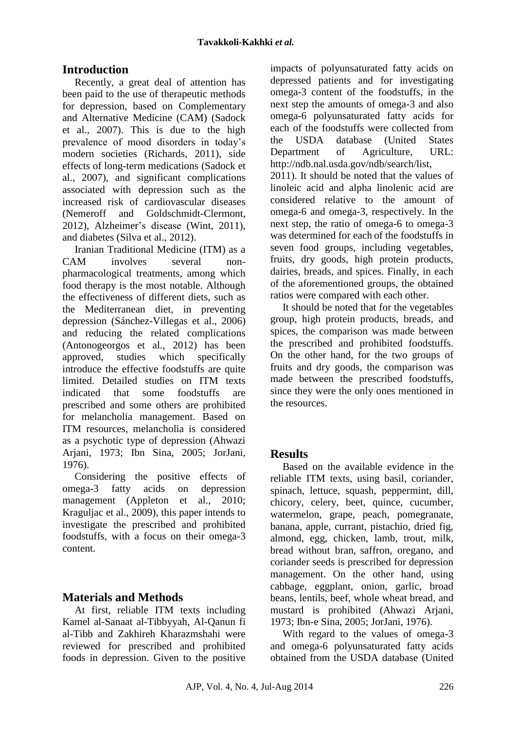# **Introduction**

Recently, a great deal of attention has been paid to the use of therapeutic methods for depression, based on Complementary and Alternative Medicine (CAM) (Sadock et al., 2007). This is due to the high prevalence of mood disorders in today's modern societies (Richards, 2011), side effects of long-term medications (Sadock et al., 2007), and significant complications associated with depression such as the increased risk of cardiovascular diseases (Nemeroff and Goldschmidt-Clermont, 2012), Alzheimer's disease (Wint, 2011), and diabetes (Silva et al., 2012).

Iranian Traditional Medicine (ITM) as a CAM involves several nonpharmacological treatments, among which food therapy is the most notable. Although the effectiveness of different diets, such as the Mediterranean diet, in preventing depression (Sánchez-Villegas et al., 2006) and reducing the related complications (Antonogeorgos et al., 2012) has been approved, studies which specifically introduce the effective foodstuffs are quite limited. Detailed studies on ITM texts indicated that some foodstuffs are prescribed and some others are prohibited for melancholia management. Based on ITM resources, melancholia is considered as a psychotic type of depression (Ahwazi Arjani, 1973; Ibn Sina, 2005; JorJani, 1976).

Considering the positive effects of omega-3 fatty acids on depression management (Appleton et al., 2010; Kraguljac et al., 2009), this paper intends to investigate the prescribed and prohibited foodstuffs, with a focus on their omega-3 content.

# **Materials and Methods**

At first, reliable ITM texts including Kamel al-Sanaat al-Tibbyyah, Al-Qanun fi al-Tibb and Zakhireh Kharazmshahi were reviewed for prescribed and prohibited foods in depression. Given to the positive impacts of polyunsaturated fatty acids on depressed patients and for investigating omega-3 content of the foodstuffs, in the next step the amounts of omega-3 and also omega-6 polyunsaturated fatty acids for each of the foodstuffs were collected from the USDA database (United States Department of Agriculture, URL: [http://ndb.nal.usda.gov/ndb/search/list,](http://ndb.nal.usda.gov/ndb/search/list) 2011). It should be noted that the values of linoleic acid and alpha linolenic acid are considered relative to the amount of omega-6 and omega-3, respectively. In the next step, the ratio of omega-6 to omega-3 was determined for each of the foodstuffs in seven food groups, including vegetables, fruits, dry goods, high protein products, dairies, breads, and spices. Finally, in each of the aforementioned groups, the obtained ratios were compared with each other.

It should be noted that for the vegetables group, high protein products, breads, and spices, the comparison was made between the prescribed and prohibited foodstuffs. On the other hand, for the two groups of fruits and dry goods, the comparison was made between the prescribed foodstuffs, since they were the only ones mentioned in the resources.

# **Results**

Based on the available evidence in the reliable ITM texts, using basil, coriander, spinach, lettuce, squash, peppermint, dill, chicory, celery, beet, quince, cucumber, watermelon, grape, peach, pomegranate, banana, apple, currant, pistachio, dried fig, almond, egg, chicken, lamb, trout, milk, bread without bran, saffron, oregano, and coriander seeds is prescribed for depression management. On the other hand, using cabbage, eggplant, onion, garlic, broad beans, lentils, beef, whole wheat bread, and mustard is prohibited (Ahwazi Arjani, 1973; Ibn-e Sina, 2005; JorJani, 1976).

With regard to the values of omega-3 and omega-6 polyunsaturated fatty acids obtained from the USDA database (United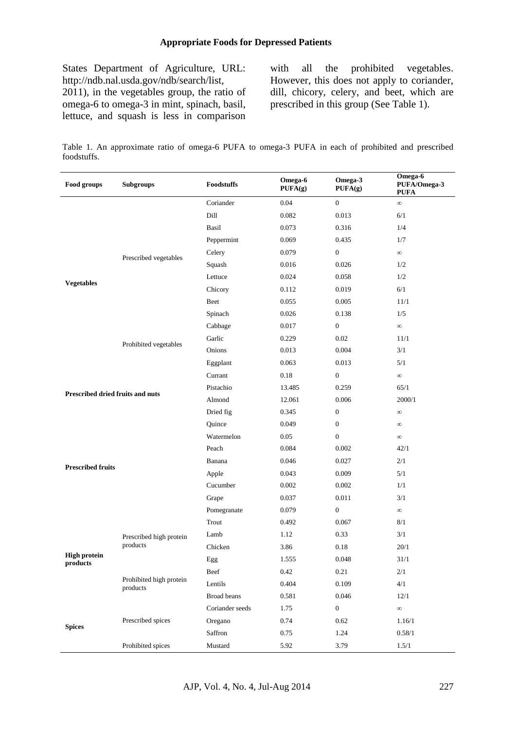### **Appropriate Foods for Depressed Patients**

States Department of Agriculture, URL: [http://ndb.nal.usda.gov/ndb/search/list,](http://ndb.nal.usda.gov/ndb/search/list) 2011), in the vegetables group, the ratio of omega-6 to omega-3 in mint, spinach, basil, lettuce, and squash is less in comparison

with all the prohibited vegetables. However, this does not apply to coriander, dill, chicory, celery, and beet, which are prescribed in this group (See Table 1).

Table 1. An approximate ratio of omega-6 PUFA to omega-3 PUFA in each of prohibited and prescribed foodstuffs.

| Food groups                      | <b>Subgroups</b>                    | Foodstuffs      | Omega-6<br>PUFA(g) | Omega-3<br>PUFA(g) | Omega-6<br>PUFA/Omega-3<br><b>PUFA</b> |
|----------------------------------|-------------------------------------|-----------------|--------------------|--------------------|----------------------------------------|
| <b>Vegetables</b>                | Prescribed vegetables               | Coriander       | 0.04               | $\boldsymbol{0}$   | $\infty$                               |
|                                  |                                     | Dill            | 0.082              | 0.013              | 6/1                                    |
|                                  |                                     | Basil           | 0.073              | 0.316              | 1/4                                    |
|                                  |                                     | Peppermint      | 0.069              | 0.435              | 1/7                                    |
|                                  |                                     | Celery          | 0.079              | $\boldsymbol{0}$   | $\infty$                               |
|                                  |                                     | Squash          | 0.016              | 0.026              | 1/2                                    |
|                                  |                                     | Lettuce         | 0.024              | 0.058              | 1/2                                    |
|                                  |                                     | Chicory         | 0.112              | 0.019              | $6/1$                                  |
|                                  |                                     | Beet            | 0.055              | 0.005              | 11/1                                   |
|                                  |                                     | Spinach         | 0.026              | 0.138              | 1/5                                    |
|                                  | Prohibited vegetables               | Cabbage         | 0.017              | $\boldsymbol{0}$   | $\infty$                               |
|                                  |                                     | Garlic          | 0.229              | 0.02               | 11/1                                   |
|                                  |                                     | Onions          | 0.013              | 0.004              | 3/1                                    |
|                                  |                                     | Eggplant        | 0.063              | 0.013              | 5/1                                    |
|                                  |                                     | Currant         | 0.18               | $\boldsymbol{0}$   | $\infty$                               |
| Prescribed dried fruits and nuts |                                     | Pistachio       | 13.485             | 0.259              | 65/1                                   |
|                                  |                                     | Almond          | 12.061             | 0.006              | 2000/1                                 |
|                                  |                                     | Dried fig       | 0.345              | $\boldsymbol{0}$   | $\infty$                               |
|                                  |                                     | Quince          | 0.049              | $\boldsymbol{0}$   | $\infty$                               |
|                                  |                                     | Watermelon      | 0.05               | $\boldsymbol{0}$   | $\infty$                               |
|                                  |                                     | Peach           | 0.084              | 0.002              | 42/1                                   |
|                                  |                                     | Banana          | 0.046              | 0.027              | 2/1                                    |
| <b>Prescribed fruits</b>         |                                     | Apple           | 0.043              | 0.009              | 5/1                                    |
|                                  |                                     | Cucumber        | 0.002              | 0.002              | 1/1                                    |
|                                  |                                     | Grape           | 0.037              | 0.011              | 3/1                                    |
|                                  |                                     | Pomegranate     | 0.079              | $\boldsymbol{0}$   | $\infty$                               |
| <b>High protein</b><br>products  | Prescribed high protein<br>products | Trout           | 0.492              | 0.067              | 8/1                                    |
|                                  |                                     | Lamb            | 1.12               | 0.33               | 3/1                                    |
|                                  |                                     | Chicken         | 3.86               | 0.18               | 20/1                                   |
|                                  |                                     | ${\rm Egg}$     | 1.555              | 0.048              | 31/1                                   |
|                                  | Prohibited high protein<br>products | Beef            | 0.42               | 0.21               | 2/1                                    |
|                                  |                                     | Lentils         | 0.404              | 0.109              | 4/1                                    |
|                                  |                                     | Broad beans     | 0.581              | 0.046              | 12/1                                   |
| <b>Spices</b>                    | Prescribed spices                   | Coriander seeds | 1.75               | $\boldsymbol{0}$   | $\infty$                               |
|                                  |                                     | Oregano         | 0.74               | 0.62               | 1.16/1                                 |
|                                  |                                     | Saffron         | 0.75               | 1.24               | 0.58/1                                 |
|                                  | Prohibited spices                   | Mustard         | 5.92               | 3.79               | 1.5/1                                  |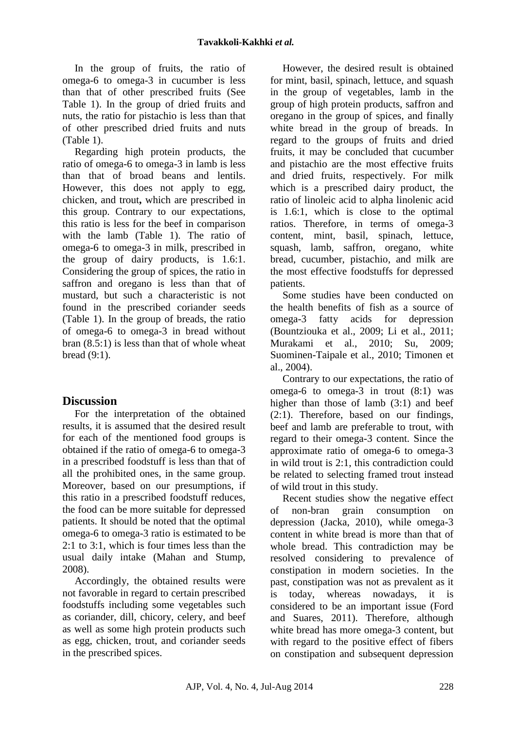In the group of fruits, the ratio of omega-6 to omega-3 in cucumber is less than that of other prescribed fruits (See Table 1). In the group of dried fruits and nuts, the ratio for pistachio is less than that of other prescribed dried fruits and nuts (Table 1).

Regarding high protein products, the ratio of omega-6 to omega-3 in lamb is less than that of broad beans and lentils. However, this does not apply to egg, chicken, and trout**,** which are prescribed in this group. Contrary to our expectations, this ratio is less for the beef in comparison with the lamb (Table 1). The ratio of omega-6 to omega-3 in milk, prescribed in the group of dairy products, is 1.6:1. Considering the group of spices, the ratio in saffron and oregano is less than that of mustard, but such a characteristic is not found in the prescribed coriander seeds (Table 1). In the group of breads, the ratio of omega-6 to omega-3 in bread without bran (8.5:1) is less than that of whole wheat bread (9:1).

# **Discussion**

For the interpretation of the obtained results, it is assumed that the desired result for each of the mentioned food groups is obtained if the ratio of omega-6 to omega-3 in a prescribed foodstuff is less than that of all the prohibited ones, in the same group. Moreover, based on our presumptions, if this ratio in a prescribed foodstuff reduces, the food can be more suitable for depressed patients. It should be noted that the optimal omega-6 to omega-3 ratio is estimated to be 2:1 to 3:1, which is four times less than the usual daily intake (Mahan and Stump, 2008).

Accordingly, the obtained results were not favorable in regard to certain prescribed foodstuffs including some vegetables such as coriander, dill, chicory, celery, and beef as well as some high protein products such as egg, chicken, trout, and coriander seeds in the prescribed spices.

However, the desired result is obtained for mint, basil, spinach, lettuce, and squash in the group of vegetables, lamb in the group of high protein products, saffron and oregano in the group of spices, and finally white bread in the group of breads. In regard to the groups of fruits and dried fruits, it may be concluded that cucumber and pistachio are the most effective fruits and dried fruits, respectively. For milk which is a prescribed dairy product, the ratio of linoleic acid to alpha linolenic acid is 1.6:1, which is close to the optimal ratios. Therefore, in terms of omega-3 content, mint, basil, spinach, lettuce, squash, lamb, saffron, oregano, white bread, cucumber, pistachio, and milk are the most effective foodstuffs for depressed patients.

Some studies have been conducted on the health benefits of fish as a source of omega-3 fatty acids for depression (Bountziouka et al., 2009; Li et al., 2011; Murakami et al., 2010; Su, 2009; Suominen-Taipale et al., 2010; Timonen et al., 2004).

Contrary to our expectations, the ratio of omega-6 to omega-3 in trout (8:1) was higher than those of lamb (3:1) and beef (2:1). Therefore, based on our findings, beef and lamb are preferable to trout, with regard to their omega-3 content. Since the approximate ratio of omega-6 to omega-3 in wild trout is 2:1, this contradiction could be related to selecting framed trout instead of wild trout in this study.

Recent studies show the negative effect of non-bran grain consumption on depression (Jacka, 2010), while omega-3 content in white bread is more than that of whole bread. This contradiction may be resolved considering to prevalence of constipation in modern societies. In the past, constipation was not as prevalent as it is today, whereas nowadays, it is considered to be an important issue (Ford and Suares, 2011). Therefore, although white bread has more omega-3 content, but with regard to the positive effect of fibers on constipation and subsequent depression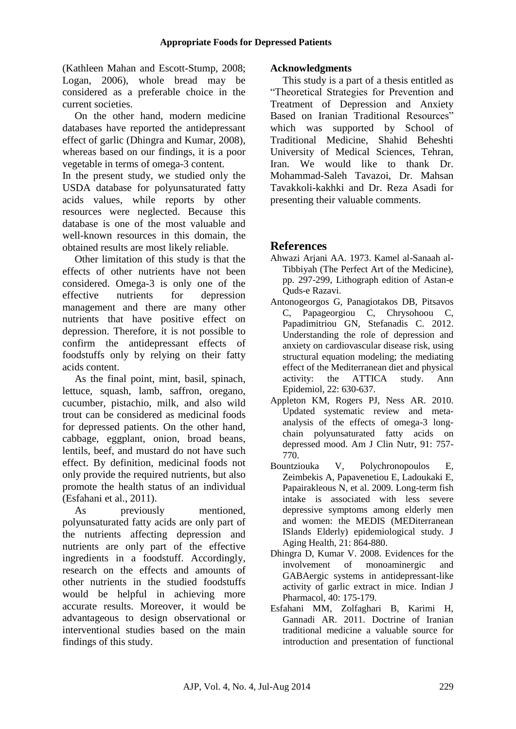(Kathleen Mahan and Escott-Stump, 2008; Logan, 2006), whole bread may be considered as a preferable choice in the current societies.

On the other hand, modern medicine databases have reported the antidepressant effect of garlic (Dhingra and Kumar, 2008), whereas based on our findings, it is a poor vegetable in terms of omega-3 content.

In the present study, we studied only the USDA database for polyunsaturated fatty acids values, while reports by other resources were neglected. Because this database is one of the most valuable and well-known resources in this domain, the obtained results are most likely reliable.

Other limitation of this study is that the effects of other nutrients have not been considered. Omega-3 is only one of the effective nutrients for depression management and there are many other nutrients that have positive effect on depression. Therefore, it is not possible to confirm the antidepressant effects of foodstuffs only by relying on their fatty acids content.

As the final point, mint, basil, spinach, lettuce, squash, lamb, saffron, oregano, cucumber, pistachio, milk, and also wild trout can be considered as medicinal foods for depressed patients. On the other hand, cabbage, eggplant, onion, broad beans, lentils, beef, and mustard do not have such effect. By definition, medicinal foods not only provide the required nutrients, but also promote the health status of an individual (Esfahani et al., 2011).

As previously mentioned, polyunsaturated fatty acids are only part of the nutrients affecting depression and nutrients are only part of the effective ingredients in a foodstuff. Accordingly, research on the effects and amounts of other nutrients in the studied foodstuffs would be helpful in achieving more accurate results. Moreover, it would be advantageous to design observational or interventional studies based on the main findings of this study.

### **Acknowledgments**

This study is a part of a thesis entitled as "Theoretical Strategies for Prevention and Treatment of Depression and Anxiety Based on Iranian Traditional Resources" which was supported by School of Traditional Medicine, Shahid Beheshti University of Medical Sciences, Tehran, Iran. We would like to thank Dr. Mohammad-Saleh Tavazoi, Dr. Mahsan Tavakkoli-kakhki and Dr. Reza Asadi for presenting their valuable comments.

# **References**

- Ahwazi Arjani AA. 1973. Kamel al-Sanaah al-Tibbiyah (The Perfect Art of the Medicine), pp. 297-299, Lithograph edition of Astan-e Quds-e Razavi.
- Antonogeorgos G, Panagiotakos DB, Pitsavos C, Papageorgiou C, Chrysohoou C, Papadimitriou GN, Stefanadis C. 2012. Understanding the role of depression and anxiety on cardiovascular disease risk, using structural equation modeling; the mediating effect of the Mediterranean diet and physical activity: the ATTICA study. Ann Epidemiol, 22: 630-637.
- Appleton KM, Rogers PJ, Ness AR. 2010. Updated systematic review and metaanalysis of the effects of omega-3 longchain polyunsaturated fatty acids on depressed mood. Am J Clin Nutr, 91: 757- 770.
- Bountziouka V, Polychronopoulos E, Zeimbekis A, Papavenetiou E, Ladoukaki E, Papairakleous N, et al. 2009. Long-term fish intake is associated with less severe depressive symptoms among elderly men and women: the MEDIS (MEDiterranean ISlands Elderly) epidemiological study. J Aging Health, 21: 864-880.
- Dhingra D, Kumar V. 2008. Evidences for the involvement of monoaminergic and GABAergic systems in antidepressant-like activity of garlic extract in mice. Indian J Pharmacol, 40: 175-179.
- Esfahani MM, Zolfaghari B, Karimi H, Gannadi AR. 2011. Doctrine of Iranian traditional medicine a valuable source for introduction and presentation of functional